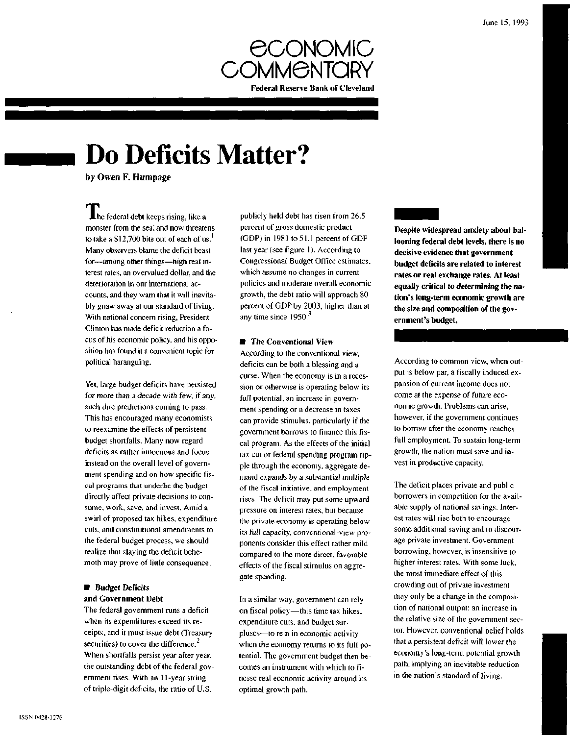

# **Do Deficits Matter?**

by Owen F. Humpage

 $\blacksquare$  he federal debt keeps rising, like a monster from the sea, and now threatens to take a \$12,700 bite out of each of us.<sup>1</sup> Many observers blame the deficit beast for—among other things—high real interest rates, an overvalued dollar, and the deterioration in our international accounts, and they warn that it will inevitably gnaw away at our standard of living. With national concern rising, President Clinton has made deficit reduction a focus of his economic policy, and his opposition has found it a convenient topic for political haranguing.

Yet, large budget deficits have persisted for more than a decade with few, if any, such dire predictions coming to pass. This has encouraged many economists to reexamine the effects of persistent budget shortfalls. Many now regard deficits as rather innocuous and focus instead on the overall level of government spending and on how specific fiscal programs that underlie the budget directly affect private decisions to consume, work, save, and invest. Amid a swirl of proposed tax hikes, expenditure cuts, and constitutional amendments to the federal budget process, we should realize that slaying the deficit behemoth may prove of little consequence.

# **• Budget Deficits and Government Debt**

The federal government runs a deficit when its expenditures exceed its receipts, and it must issue debt (Treasury securities) to cover the difference. $2$ When shortfalls persist year after year, the outstanding debt of the federal government rises. With an 11-year string of triple-digit deficits, the ratio of U.S.

publicly held debt has risen from 26.5 percent of gross domestic product (GDP) in 1981 to 51.1 percent of GDP last year (see figure 1). According to Congressional Budget Office estimates, which assume no changes in current policies and moderate overall economic growth, the debt ratio will approach 80 percent of GDP by 2003, higher than at any time since  $1950<sup>3</sup>$ 

# $\blacksquare$  The Conventional View

According to the conventional view, deficits can be both a blessing and a curse. When the economy is in a recession or otherwise is operating below its full potential, an increase in government spending or a decrease in taxes can provide stimulus, particularly if the government borrows to finance this fiscal program. As the effects of the initial tax cut or federal spending program ripple through the economy, aggregate demand expands by a substantial multiple of the fiscal initiative, and employment rises. The deficit may put some upward pressure on interest rates, but because the private economy is operating below its full capacity, conventional-view proponents consider this effect rather mild compared to the more direct, favorable effects of the fiscal stimulus on aggregate spending.

In a similar way, government can rely on fiscal policy—this time tax hikes, expenditure cuts, and budget surpluses—to rein in economic activity when the economy returns to its full potential. The government budget then becomes an instrument with which to finesse real economic activity around its optimal growth path.

**Despite widespread anxiety about ballooning federal debt levels, there is no decisive evidence that government budget deficits are related to interest rates or real exchange rates. At least equally critical to determining the nation's long-term economic growth are the size and composition of the government's budget.**

According to common view, when output is below par, a fiscally induced expansion of current income does not come at the expense of future economic growth. Problems can arise, however, if the government continues to borrow after the economy reaches full employment. To sustain long-term growth, the nation must save and invest in productive capacity.

The deficit places private and public borrowers in competition for the available supply of national savings. Interest rates will rise both to encourage some additional saving and to discourage private investment. Government borrowing, however, is insensitive to higher interest rates. With some luck, the most immediate effect of this crowding out of private investment may only be a change in the composition of national output: an increase in the relative size of the government sector. However, conventional belief holds that a persistent deficit will lower the economy's long-term potential growth path, implying an inevitable reduction in the nation's standard of living.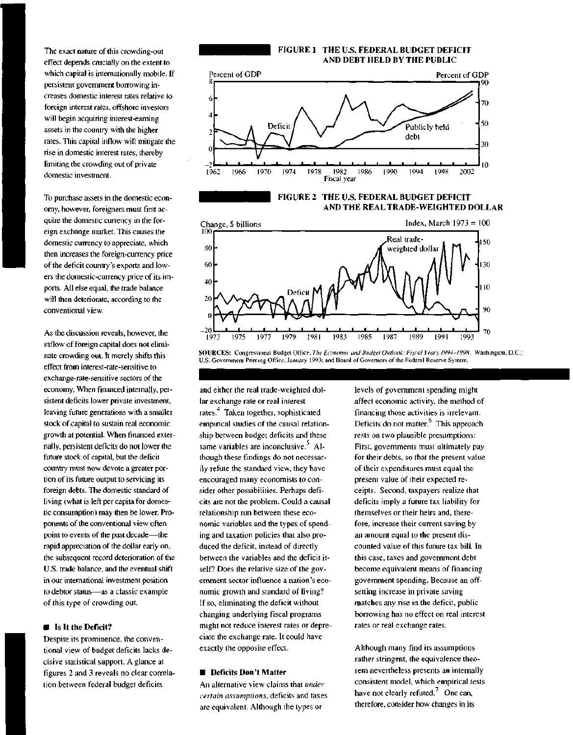The exact nature of this crowding-out effect depends crucially on the extent to which capital is internationally mobile. If persistent government borrowing increases domestic interest rates relative to foreign interest rates, offshore investors will begin acquiring interest-earning assets in the country with the higher rates. This capital inflow will mitigate the rise in domestic interest rates, thereby limiting the crowding out of private domestic investment.

To purchase assets in the domestic economy, however, foreigners must first acquire the domestic currency in the foreign exchange market. This causes the domestic currency to appreciate, which then increases the foreign-currency price of the deficit country's exports and lowers the domestic-currency price of its imports. All else equal, the trade balance will then deteriorate, according to the conventional view.

As the discussion reveals, however, the inflow of foreign capital does not eliminate crowding out. It merely shifts this effect from interest-rate-sensitive to exchange-rate-sensitive sectors of the economy. When financed internally, persistent deficits lower private investment, leaving future generations with a smaller stock of capital to sustain real economic growth at potential. When financed externally, persistent deficits do not lower the future stock of capital, but the deficit country must now devote a greater portion of its future output to servicing its foreign debts. The domestic standard of living (what is left per capita for domestic consumption) may then be lower. Proponents of the conventional view often point to events of the past decade—the rapid appreciation of the dollar early on, the subsequent record deterioration of the U.S. trade balance, and the eventual shift in our international investment position to debtor status—as a classic example of this type of crowding out.

#### **• Is It the Deficit?**

Despite its prominence, the conventional view of budget deficits lacks decisive statistical support. A glance at figures 2 and 3 reveals no clear correlation between federal budget deficits

#### **FIGURE 1 THE U.S. FEDERAL BUDGET DEFICIT AND DEBT HELD BY THE PUBLIC**



### **FIGURE 2 THE U.S. FEDERAL BUDGET DEFICIT AND THE REAL TRADE-WEIGHTED DOLLAR**



SOURCES: Congressional Budget Office, The Economic and Budget Outlook: Fiscal Years 1994-1998, Washington, D.C.: U.S. Government Printing Office, January 1993; and Board of Governors of the Federal Reserve System.

and either the real trade-weighted dollar exchange rate or real interest rates.<sup>4</sup> Taken together, sophisticated empirical studies of the causal relationship between budget deficits and these same variables are inconclusive. $5$  Although these findings do not necessarily refute the standard view, they have encouraged many economists to consider other possibilities. Perhaps deficits are not the problem. Could a causal relationship run between these economic variables and the types of spending and taxation policies that also produced the deficit, instead of directly between the variables and the deficit itself? Does the relative size of the government sector influence a nation's economic growth and standard of living? If so, eliminating the deficit without changing underlying fiscal programs might not reduce interest rates or depreciate the exchange rate. It could have exactly the opposite effect.

#### **• Deficits Don't Matter**

An alternative view claims that *under certain assumptions,* deficits and taxes are equivalent. Although the types or

levels of government spending might affect economic activity, the method of financing those activities is irrelevant. Deficits do not matter. $<sup>6</sup>$  This approach</sup> rests on two plausible presumptions: First, governments must ultimately pay for their debts, so that the present value of their expenditures must equal the present value of their expected receipts. Second, taxpayers realize that deficits imply a future tax liability for themselves or their heirs and, therefore, increase their current saving by an amount equal to the present discounted value of this future tax bill. In this case, taxes and government debt become equivalent means of financing government spending. Because an offsetting increase in private saving matches any rise in the deficit, public borrowing has no effect on real interest rates or real exchange rates.

Although many find its assumptions rather stringent, the equivalence theorem nevertheless presents an internally consistent model, which empirical tests have not clearly refuted.<sup>7</sup> One can, therefore, consider how changes in its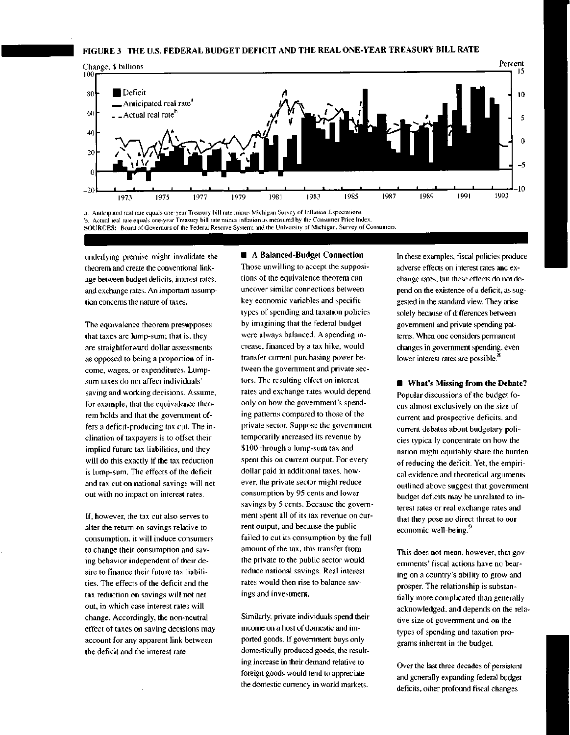

a. Anticipated real rate equals one-year Treasury bill rate minus Michigan Survey of Inflation Expectations. b. Actual real rate equals one-year Treasury bill rate minus inflation as measured by the Consumer Price Index. **SOURCES:** Board of Governors of the Federal Reserve System; and the University of Michigan, Survey of Consumers.

underlying premise might invalidate the theorem and create the conventional linkage between budget deficits, interest rates, and exchange rates. An important assumption concerns the nature of taxes.

The equivalence theorem presupposes that taxes are lump-sum; that is, they are straightforward dollar assessments as opposed to being a proportion of income, wages, or expenditures. Lumpsum taxes do not affect individuals' saving and working decisions. Assume, for example, that the equivalence theorem holds and that the government offers a deficit-producing tax cut. The inclination of taxpayers is to offset their implied future tax liabilities, and they will do this exactly if the tax reduction is lump-sum. The effects of the deficit and tax cut on national savings will net out with no impact on interest rates.

If, however, the tax cut also serves to alter the return on savings relative to consumption, it will induce consumers to change their consumption and saving behavior independent of their desire to finance their future tax liabilities. The effects of the deficit and the tax reduction on savings will not net out, in which case interest rates will change. Accordingly, the non-neutral effect of taxes on saving decisions may account for any apparent link between the deficit and the interest rate.

# **• A Balanced-Budget Connection**

Those unwilling to accept the suppositions of the equivalence theorem can uncover similar connections between key economic variables and specific types of spending and taxation policies by imagining that the federal budget were always balanced. A spending increase, financed by a tax hike, would transfer current purchasing power between the government and private sectors. The resulting effect on interest rates and exchange rates would depend only on how the government's spending patterns compared to those of the private sector. Suppose the government temporarily increased its revenue by \$100 through a lump-sum tax and spent this on current output. For every dollar paid in additional taxes, however, the private sector might reduce consumption by 95 cents and lower savings by 5 cents. Because the government spent all of its tax revenue on current output, and because the public failed to cut its consumption by the full amount of the tax, this transfer from the private to the public sector would reduce national savings. Real interest rates would then rise to balance savings and investment.

Similarly, private individuals spend their income on a host of domestic and imported goods. If government buys only domestically produced goods, the resulting increase in their demand relative to foreign goods would tend to appreciate the domestic currency in world markets.

In these examples, fiscal policies produce adverse effects on interest rates and exchange rates, but these effects do not depend on the existence of a deficit, as suggested in the standard view. They arise solely because of differences between government and private spending patterns. When one considers permanent changes in government spending, even lower interest rates are possible.<sup>8</sup>

**• What's Missing from the Debate?** Popular discussions of the budget focus almost exclusively on the size of current and prospective deficits, and current debates about budgetary policies typically concentrate on how the nation might equitably share the burden of reducing the deficit. Yet, the empirical evidence and theoretical arguments outlined above suggest that government budget deficits may be unrelated to interest rates or real exchange rates and that they pose no direct threat to our economic well-being.<sup>9</sup>

This does not mean, however, that governments' fiscal actions have no bearing on a country's ability to grow and prosper. The relationship is substantially more complicated than generally acknowledged, and depends on the relative size of government and on the types of spending and taxation programs inherent in the budget.

Over the last three decades of persistent and generally expanding federal budget deficits, other profound fiscal changes